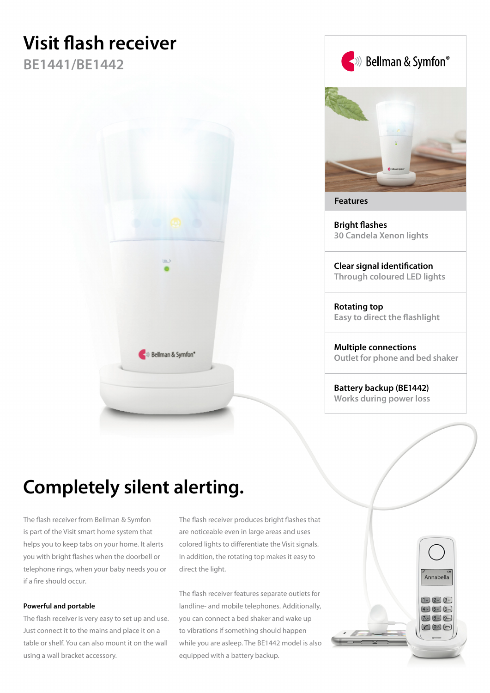# **Visit flash receiver**

**BE1441/BE1442**





**Features**

**Bright flashes 30 Candela Xenon lights**

**Clear signal identification Through coloured LED lights**

**Rotating top Easy to direct the flashlight**

**Multiple connections Outlet for phone and bed shaker**

**Battery backup (BE1442) Works during power loss**

## **Completely silent alerting.**

The flash receiver from Bellman & Symfon is part of the Visit smart home system that helps you to keep tabs on your home. It alerts you with bright flashes when the doorbell or telephone rings, when your baby needs you or if a fire should occur.

#### **Powerful and portable**

The flash receiver is very easy to set up and use. Just connect it to the mains and place it on a table or shelf. You can also mount it on the wall using a wall bracket accessory.

The flash receiver produces bright flashes that are noticeable even in large areas and uses colored lights to differentiate the Visit signals. In addition, the rotating top makes it easy to direct the light.

The flash receiver features separate outlets for landline- and mobile telephones. Additionally, you can connect a bed shaker and wake up to vibrations if something should happen while you are asleep. The BE1442 model is also equipped with a battery backup.